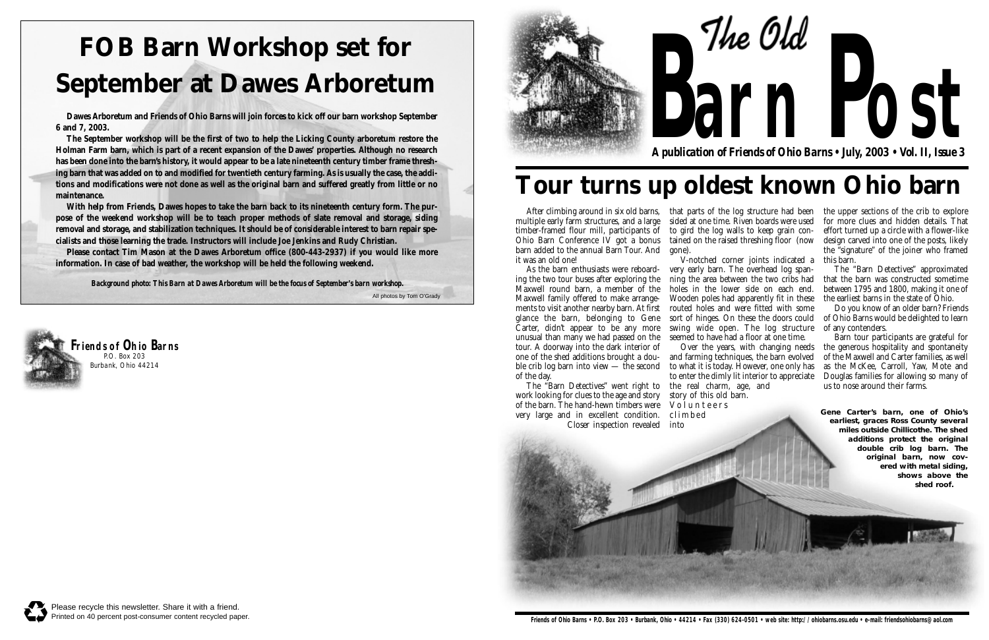multiple early farm structures, and a large timber-framed flour mill, participants of Ohio Barn Conference IV got a bonus barn added to the annual Barn Tour. And it was an old one!

As the barn enthusiasts were reboarding the two tour buses after exploring the Maxwell round barn, a member of the Maxwell family offered to make arrangements to visit another nearby barn. At first glance the barn, belonging to Gene Carter, didn't appear to be any more unusual than many we had passed on the tour. A doorway into the dark interior of one of the shed additions brought a double crib log barn into view — the second of the day.

After climbing around in six old barns, hthat parts of the log structure had been hthe upper sections of the crib to explore sided at one time. Riven boards were used to gird the log walls to keep grain contained on the raised threshing floor (now gone).

The "Barn Detectives" went right to work looking for clues to the age and story of the barn. The hand-hewn timbers were very large and in excellent condition. Closer inspection revealed

V-notched corner joints indicated a very early barn. The overhead log spanning the area between the two cribs had holes in the lower side on each end. Wooden poles had apparently fit in these routed holes and were fitted with some sort of hinges. On these the doors could swing wide open. The log structure seemed to have had a floor at one time. Over the years, with changing needs

The Old **arn Post** *A publication of Friends of Ohio Barns • July, 2003 • Vol. II, Issue 3*

and farming techniques, the barn evolved to what it is today. However, one only has to enter the dimly lit interior to appreciate

the real charm, age, and story of this old barn. Volunteers climbed into



for more clues and hidden details. That effort turned up a circle with a flower-like design carved into one of the posts, likely the "signature" of the joiner who framed this barn.

The "Barn Detectives" approximated that the barn was constructed sometime between 1795 and 1800, making it one of the earliest barns in the state of Ohio.

Do you know of an older barn? Friends of Ohio Barns would be delighted to learn of any contenders.

Barn tour participants are grateful for the generous hospitality and spontaneity of the Maxwell and Carter families, as well as the McKee, Carroll, Yaw, Mote and Douglas families for allowing so many of us to nose around their farms.

**Gene Carter's barn, one of Ohio's earliest, graces Ross County several miles outside Chillicothe. The shed additions protect the original double crib log barn. The original barn, now covered with metal siding, shows above the shed roof.**



**Friends of Ohio Barns** P.O. Box 203 Burbank, Ohio 44214

## **Tour turns up oldest known Ohio barn**

# **FOB Barn Workshop set for September at Dawes Arboretum**

**Dawes Arboretum and Friends of Ohio Barns will join forces to kick off our barn workshop September 6 and 7, 2003.** 

**The September workshop will be the first of two to help the Licking County arboretum restore the Holman Farm barn, which is part of a recent expansion of the Dawes' properties. Although no research has been done into the barn's history, it would appear to be a late nineteenth century timber frame threshing barn that was added on to and modified for twentieth century farming. As is usually the case, the additions and modifications were not done as well as the original barn and suffered greatly from little or no maintenance.** 

All photos by Tom O'Grady *Background photo: This Barn at Dawes Arboretum will be the focus of September's barn workshop.*

**With help from Friends, Dawes hopes to take the barn back to its nineteenth century form. The purpose of the weekend workshop will be to teach proper methods of slate removal and storage, siding removal and storage, and stabilization techniques. It should be of considerable interest to barn repair specialists and those learning the trade. Instructors will include Joe Jenkins and Rudy Christian.**

**Please contact Tim Mason at the Dawes Arboretum office (800-443-2937) if you would like more information. In case of bad weather, the workshop will be held the following weekend.**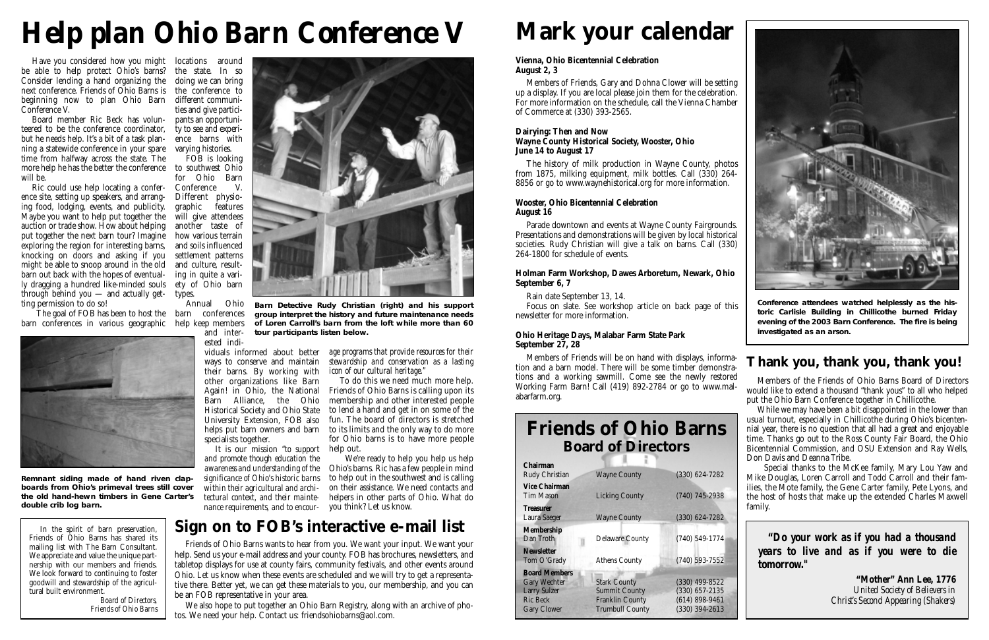Have you considered how you might locations around be able to help protect Ohio's barns? the state. In so Consider lending a hand organizing the doing we can bring next conference. Friends of Ohio Barns is the conference to beginning now to plan Ohio Barn different communi-Conference V.

Board member Ric Beck has volun-pants an opportuniteered to be the conference coordinator, ty to see and experibut he needs help. It's a bit of a task planning a statewide conference in your spare time from halfway across the state. The more help he has the better the conference to southwest Ohio will be.

Ric could use help locating a conference site, setting up speakers, and arranging food, lodging, events, and publicity. Maybe you want to help put together the auction or trade show. How about helping another taste of put together the next barn tour? Imagine exploring the region for interesting barns, knocking on doors and asking if you might be able to snoop around in the old barn out back with the hopes of eventually dragging a hundred like-minded souls through behind you — and actually get-types. ting permission to do so!

ties and give particience barns with varying histories.

The goal of FOB has been to host the barn conferences barn conferences in various geographic help keep members



FOB is looking for Ohio Barn<br>Conference V. **Conference** Different physiographic features will give attendees how various terrain and soils influenced settlement patterns and culture, resulting in quite a variety of Ohio barn

Annual Ohio

and inter-

ested individuals informed about better ways to conserve and maintain their barns. By working with other organizations like Barn Again! in Ohio, the National Barn Alliance, the Ohio Historical Society and Ohio State University Extension, FOB also helps put barn owners and barn specialists together.

#### *age programs that provide resources for their stewardship and conservation as a lasting icon of our cultural heritage."*

It is our mission *"to support* help out. *and promote though education the awareness and understanding of the significance of Ohio's historic barns within their agricultural and architectural context, and their maintenance requirements, and to encour-*you think? Let us know.



To do this we need much more help. Friends of Ohio Barns is calling upon its membership and other interested people to lend a hand and get in on some of the fun. The board of directors is stretched to its limits and the only way to do more for Ohio barns is to have more people

We're ready to help you help us help Ohio's barns. Ric has a few people in mind to help out in the southwest and is calling on their assistance. We need contacts and helpers in other parts of Ohio. What do

**Remnant siding made of hand riven clapboards from Ohio's primeval trees still cover the old hand-hewn timbers in Gene Carter's double crib log barn.** 

# *Help plan Ohio Barn Conference V*

Friends of Ohio Barns wants to hear from you. We want your input. We want your help. Send us your e-mail address and your county. FOB has brochures, newsletters, and tabletop displays for use at county fairs, community festivals, and other events around Ohio. Let us know when these events are scheduled and we will try to get a representative there. Better yet, we can get these materials to you, our membership, and you can be an FOB representative in your area.

We also hope to put together an Ohio Barn Registry, along with an archive of photos. We need your help. Contact us: friendsohiobarns@aol.com.

### **Sign on to FOB's interactive e-mail list**

**Barn Detective Rudy Christian (right) and his support group interpret the history and future maintenance needs of Loren Carroll's barn from the loft while more than 60 tour participants listen below.**

> Members of the Friends of Ohio Barns Board of Directors would like to extend a thousand "thank yous" to all who helped put the Ohio Barn Conference together in Chillicothe.

> While we may have been a bit disappointed in the lower than usual turnout, especially in Chillicothe during Ohio's bicentennial year, there is no question that all had a great and enjoyable time. Thanks go out to the Ross County Fair Board, the Ohio Bicentennial Commission, and OSU Extension and Ray Wells, Don Davis and Deanna Tribe.

> Special thanks to the McKee family, Mary Lou Yaw and Mike Douglas, Loren Carroll and Todd Carroll and their families, the Mote family, the Gene Carter family, Pete Lyons, and the host of hosts that make up the extended Charles Maxwell family.

### **Thank you, thank you, thank you!**

**Conference attendees watched helplessly as the historic Carlisle Building in Chillicothe burned Friday evening of the 2003 Barn Conference. The fire is being investigated as an arson.**

*"Do your work as if you had a thousand years to live and as if you were to die tomorrow."*

> **"Mother" Ann Lee, 1776**  *United Society of Believers in Christ's Second Appearing (Shakers)*

### **Friends of Ohio Barns Board of Directors**

| Chairman             |                        |                    |
|----------------------|------------------------|--------------------|
| Rudy Christian       | <b>Wayne County</b>    | $(330) 624 - 7282$ |
| <b>Vice Chairman</b> |                        |                    |
| <b>Tim Mason</b>     | <b>Licking County</b>  | $(740)$ 745-2938   |
| <b>Treasurer</b>     |                        |                    |
| Laura Saeger         | <b>Wayne County</b>    | $(330) 624 - 7282$ |
| <b>Membership</b>    |                        |                    |
| Dan Troth            | <b>Delaware County</b> | $(740)$ 549-1774   |
| <b>Newsletter</b>    |                        |                    |
| Tom O'Grady          | <b>Athens County</b>   | $(740)$ 593-7552   |
| <b>Board Members</b> |                        |                    |
| <b>Gary Wechter</b>  | <b>Stark County</b>    | $(330)$ 499-8522   |
| <b>Larry Sulzer</b>  | <b>Summit County</b>   | $(330)$ 657-2135   |
| <b>Ric Beck</b>      | <b>Franklin County</b> | $(614)$ 898-9461   |
| <b>Gary Clower</b>   | <b>Trumbull County</b> | $(330)$ 394-2613   |







## **Mark your calendar**

#### **Vienna, Ohio Bicentennial Celebration August 2, 3**

Members of Friends, Gary and Dohna Clower will be setting up a display. If you are local please join them for the celebration. For more information on the schedule, call the Vienna Chamber of Commerce at (330) 393-2565.

#### **Dairying: Then and Now Wayne County Historical Society, Wooster, Ohio June 14 to August 17**

The history of milk production in Wayne County, photos from 1875, milking equipment, milk bottles. Call (330) 264- 8856 or go to www.waynehistorical.org for more information.

#### **Wooster, Ohio Bicentennial Celebration August 16**

Parade downtown and events at Wayne County Fairgrounds. Presentations and demonstrations will be given by local historical societies. Rudy Christian will give a talk on barns. Call (330) 264-1800 for schedule of events.

#### **Holman Farm Workshop, Dawes Arboretum, Newark, Ohio September 6, 7**

Rain date September 13, 14.

Focus on slate. See workshop article on back page of this newsletter for more information.

#### **Ohio Heritage Days, Malabar Farm State Park September 27, 28**

Members of Friends will be on hand with displays, information and a barn model. There will be some timber demonstrations and a working sawmill. Come see the newly restored Working Farm Barn! Call (419) 892-2784 or go to www.malabarfarm.org.

In the spirit of barn preservation, Friends of Ohio Barns has shared its mailing list with The Barn Consultant. We appreciate and value the unique partnership with our members and friends. We look forward to continuing to foster goodwill and stewardship of the agricultural built environment.

> *Board of Directors, Friends of Ohio Barns*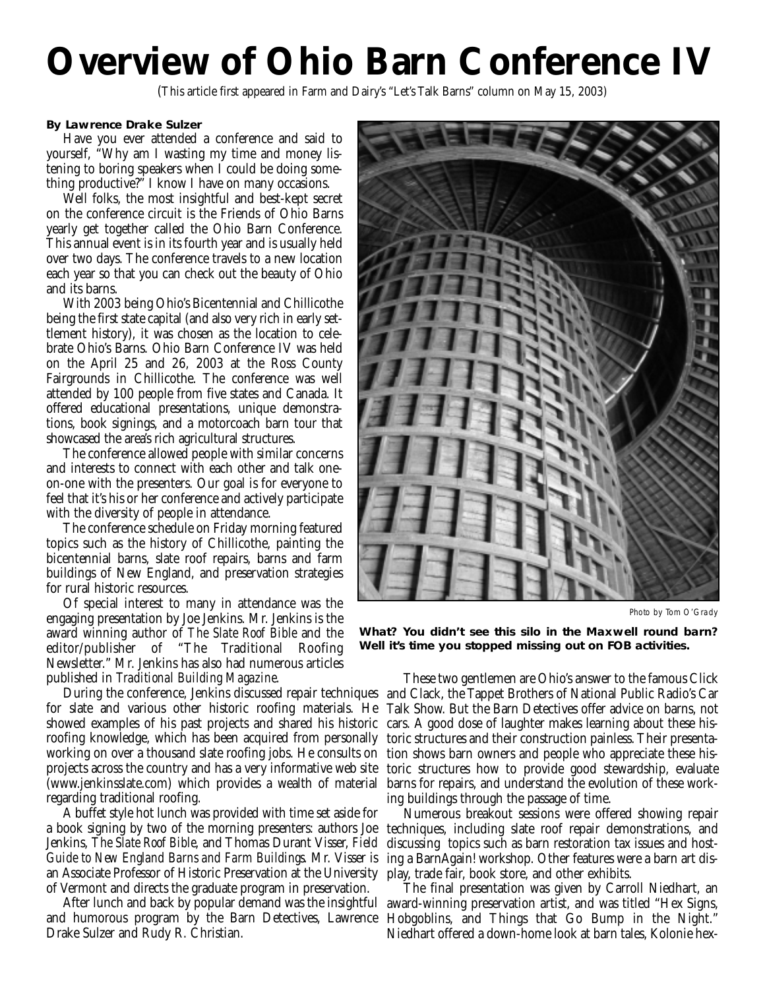## **Overview of Ohio Barn Conference IV**

(This article first appeared in Farm and Dairy's "Let's Talk Barns" column on May 15, 2003)

#### **By Lawrence Drake Sulzer**

Have you ever attended a conference and said to yourself, "Why am I wasting my time and money listening to boring speakers when I could be doing something productive?" I know I have on many occasions.

Well folks, the most insightful and best-kept secret on the conference circuit is the Friends of Ohio Barns yearly get together called the Ohio Barn Conference. This annual event is in its fourth year and is usually held over two days. The conference travels to a new location each year so that you can check out the beauty of Ohio and its barns.

With 2003 being Ohio's Bicentennial and Chillicothe being the first state capital (and also very rich in early settlement history), it was chosen as the location to celebrate Ohio's Barns. Ohio Barn Conference IV was held on the April 25 and 26, 2003 at the Ross County Fairgrounds in Chillicothe. The conference was well attended by 100 people from five states and Canada. It offered educational presentations, unique demonstrations, book signings, and a motorcoach barn tour that showcased the area's rich agricultural structures.

The conference allowed people with similar concerns and interests to connect with each other and talk oneon-one with the presenters. Our goal is for everyone to feel that it's his or her conference and actively participate with the diversity of people in attendance.

The conference schedule on Friday morning featured topics such as the history of Chillicothe, painting the bicentennial barns, slate roof repairs, barns and farm buildings of New England, and preservation strategies for rural historic resources.

Of special interest to many in attendance was the engaging presentation by Joe Jenkins. Mr. Jenkins is the award winning author of *The Slate Roof Bible* and the editor/publisher of "The Traditional Roofing Newsletter." Mr. Jenkins has also had numerous articles published in *Traditional Building Magazine*.

roofing knowledge, which has been acquired from personally projects across the country and has a very informative web site regarding traditional roofing.

A buffet style hot lunch was provided with time set aside for a book signing by two of the morning presenters: authors Joe Jenkins, *The Slate Roof Bible*, and Thomas Durant Visser, *Field Guide to New England Barns and Farm Buildings*. Mr. Visser is an Associate Professor of Historic Preservation at the University play, trade fair, book store, and other exhibits. of Vermont and directs the graduate program in preservation.

and humorous program by the Barn Detectives, Lawrence Hobgoblins, and Things that Go Bump in the Night." Drake Sulzer and Rudy R. Christian.



Photo by Tom O'Grady

**What? You didn't see this silo in the Maxwell round barn? Well it's time you stopped missing out on FOB activities.**

During the conference, Jenkins discussed repair techniques and Clack, the Tappet Brothers of National Public Radio's Car for slate and various other historic roofing materials. He Talk Show. But the Barn Detectives offer advice on barns, not showed examples of his past projects and shared his historic cars. A good dose of laughter makes learning about these hisworking on over a thousand slate roofing jobs. He consults on tion shows barn owners and people who appreciate these his-(www.jenkinsslate.com) which provides a wealth of material barns for repairs, and understand the evolution of these work-These two gentlemen are Ohio's answer to the famous Click toric structures and their construction painless. Their presentatoric structures how to provide good stewardship, evaluate ing buildings through the passage of time.

> Numerous breakout sessions were offered showing repair techniques, including slate roof repair demonstrations, and discussing topics such as barn restoration tax issues and hosting a BarnAgain! workshop. Other features were a barn art dis-

After lunch and back by popular demand was the insightful award-winning preservation artist, and was titled "Hex Signs, The final presentation was given by Carroll Niedhart, an Niedhart offered a down-home look at barn tales, Kolonie hex-